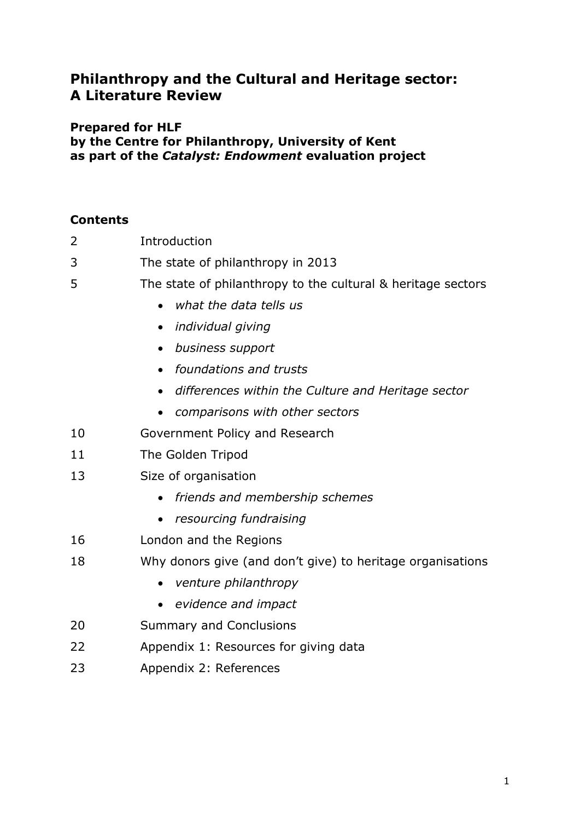# **Philanthropy and the Cultural and Heritage sector: A Literature Review**

## **Prepared for HLF**

**by the Centre for Philanthropy, University of Kent as part of the** *Catalyst: Endowment* **evaluation project**

# **Contents**

| 2  | Introduction                                                 |
|----|--------------------------------------------------------------|
| 3  | The state of philanthropy in 2013                            |
| 5  | The state of philanthropy to the cultural & heritage sectors |
|    | what the data tells us<br>$\bullet$                          |
|    | individual giving<br>$\bullet$                               |
|    | business support<br>$\bullet$                                |
|    | foundations and trusts<br>$\bullet$                          |
|    | differences within the Culture and Heritage sector           |
|    | comparisons with other sectors<br>$\bullet$                  |
| 10 | Government Policy and Research                               |
| 11 | The Golden Tripod                                            |
| 13 | Size of organisation                                         |
|    | friends and membership schemes                               |
|    | resourcing fundraising                                       |
| 16 | London and the Regions                                       |
| 18 | Why donors give (and don't give) to heritage organisations   |
|    | venture philanthropy                                         |
|    | evidence and impact<br>$\bullet$                             |
| 20 | <b>Summary and Conclusions</b>                               |
| 22 | Appendix 1: Resources for giving data                        |
| 23 | Appendix 2: References                                       |
|    |                                                              |
|    |                                                              |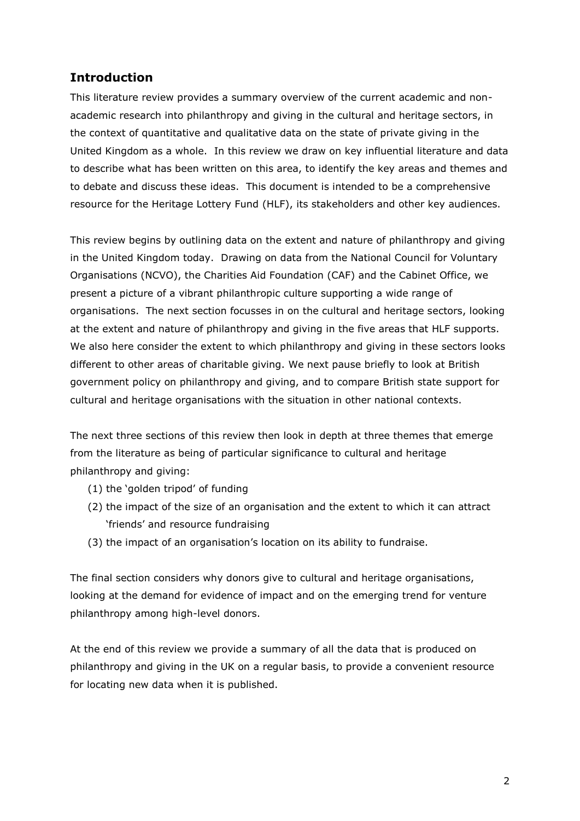# **Introduction**

This literature review provides a summary overview of the current academic and nonacademic research into philanthropy and giving in the cultural and heritage sectors, in the context of quantitative and qualitative data on the state of private giving in the United Kingdom as a whole. In this review we draw on key influential literature and data to describe what has been written on this area, to identify the key areas and themes and to debate and discuss these ideas. This document is intended to be a comprehensive resource for the Heritage Lottery Fund (HLF), its stakeholders and other key audiences.

This review begins by outlining data on the extent and nature of philanthropy and giving in the United Kingdom today. Drawing on data from the National Council for Voluntary Organisations (NCVO), the Charities Aid Foundation (CAF) and the Cabinet Office, we present a picture of a vibrant philanthropic culture supporting a wide range of organisations. The next section focusses in on the cultural and heritage sectors, looking at the extent and nature of philanthropy and giving in the five areas that HLF supports. We also here consider the extent to which philanthropy and giving in these sectors looks different to other areas of charitable giving. We next pause briefly to look at British government policy on philanthropy and giving, and to compare British state support for cultural and heritage organisations with the situation in other national contexts.

The next three sections of this review then look in depth at three themes that emerge from the literature as being of particular significance to cultural and heritage philanthropy and giving:

- (1) the "golden tripod" of funding
- (2) the impact of the size of an organisation and the extent to which it can attract "friends" and resource fundraising
- (3) the impact of an organisation"s location on its ability to fundraise.

The final section considers why donors give to cultural and heritage organisations, looking at the demand for evidence of impact and on the emerging trend for venture philanthropy among high-level donors.

At the end of this review we provide a summary of all the data that is produced on philanthropy and giving in the UK on a regular basis, to provide a convenient resource for locating new data when it is published.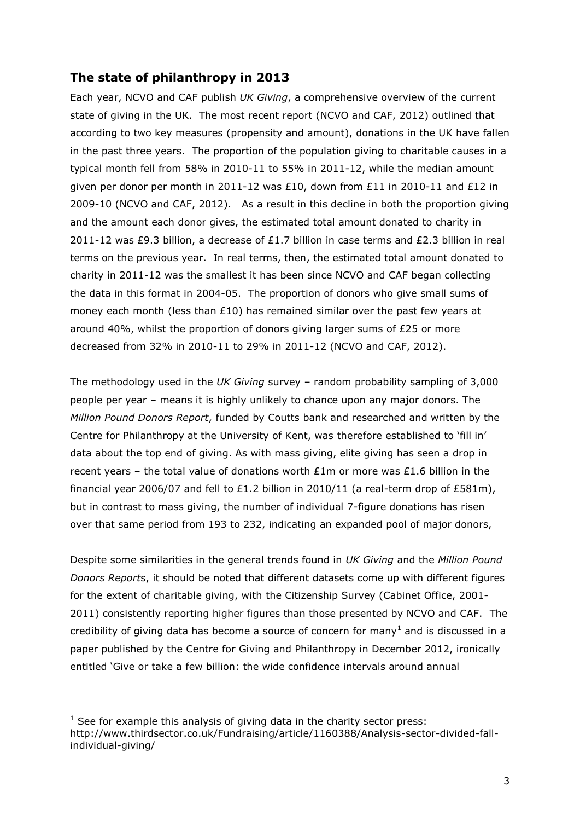# **The state of philanthropy in 2013**

Each year, NCVO and CAF publish *UK Giving*, a comprehensive overview of the current state of giving in the UK. The most recent report (NCVO and CAF, 2012) outlined that according to two key measures (propensity and amount), donations in the UK have fallen in the past three years. The proportion of the population giving to charitable causes in a typical month fell from 58% in 2010-11 to 55% in 2011-12, while the median amount given per donor per month in 2011-12 was £10, down from £11 in 2010-11 and £12 in 2009-10 (NCVO and CAF, 2012). As a result in this decline in both the proportion giving and the amount each donor gives, the estimated total amount donated to charity in 2011-12 was £9.3 billion, a decrease of £1.7 billion in case terms and £2.3 billion in real terms on the previous year. In real terms, then, the estimated total amount donated to charity in 2011-12 was the smallest it has been since NCVO and CAF began collecting the data in this format in 2004-05. The proportion of donors who give small sums of money each month (less than  $£10$ ) has remained similar over the past few years at around 40%, whilst the proportion of donors giving larger sums of £25 or more decreased from 32% in 2010-11 to 29% in 2011-12 (NCVO and CAF, 2012).

The methodology used in the *UK Giving* survey – random probability sampling of 3,000 people per year – means it is highly unlikely to chance upon any major donors. The *Million Pound Donors Report*, funded by Coutts bank and researched and written by the Centre for Philanthropy at the University of Kent, was therefore established to "fill in" data about the top end of giving. As with mass giving, elite giving has seen a drop in recent years – the total value of donations worth  $£1m$  or more was  $£1.6$  billion in the financial year 2006/07 and fell to £1.2 billion in 2010/11 (a real-term drop of £581m), but in contrast to mass giving, the number of individual 7-figure donations has risen over that same period from 193 to 232, indicating an expanded pool of major donors,

Despite some similarities in the general trends found in *UK Giving* and the *Million Pound Donors Report*s, it should be noted that different datasets come up with different figures for the extent of charitable giving, with the Citizenship Survey (Cabinet Office, 2001- 2011) consistently reporting higher figures than those presented by NCVO and CAF. The credibility of giving data has become a source of concern for many<sup>1</sup> and is discussed in a paper published by the Centre for Giving and Philanthropy in December 2012, ironically entitled "Give or take a few billion: the wide confidence intervals around annual

-

 $1$  See for example this analysis of giving data in the charity sector press: http://www.thirdsector.co.uk/Fundraising/article/1160388/Analysis-sector-divided-fallindividual-giving/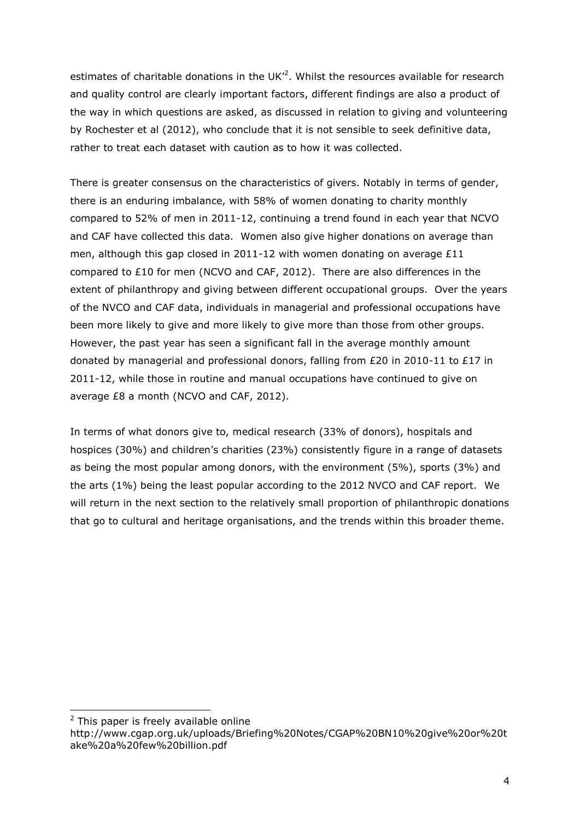estimates of charitable donations in the UK $^2$ . Whilst the resources available for research and quality control are clearly important factors, different findings are also a product of the way in which questions are asked, as discussed in relation to giving and volunteering by Rochester et al (2012), who conclude that it is not sensible to seek definitive data, rather to treat each dataset with caution as to how it was collected.

There is greater consensus on the characteristics of givers. Notably in terms of gender, there is an enduring imbalance, with 58% of women donating to charity monthly compared to 52% of men in 2011-12, continuing a trend found in each year that NCVO and CAF have collected this data. Women also give higher donations on average than men, although this gap closed in 2011-12 with women donating on average £11 compared to £10 for men (NCVO and CAF, 2012). There are also differences in the extent of philanthropy and giving between different occupational groups. Over the years of the NVCO and CAF data, individuals in managerial and professional occupations have been more likely to give and more likely to give more than those from other groups. However, the past year has seen a significant fall in the average monthly amount donated by managerial and professional donors, falling from £20 in 2010-11 to £17 in 2011-12, while those in routine and manual occupations have continued to give on average £8 a month (NCVO and CAF, 2012).

In terms of what donors give to, medical research (33% of donors), hospitals and hospices (30%) and children's charities (23%) consistently figure in a range of datasets as being the most popular among donors, with the environment (5%), sports (3%) and the arts (1%) being the least popular according to the 2012 NVCO and CAF report. We will return in the next section to the relatively small proportion of philanthropic donations that go to cultural and heritage organisations, and the trends within this broader theme.

-

 $2$  This paper is freely available online

http://www.cgap.org.uk/uploads/Briefing%20Notes/CGAP%20BN10%20give%20or%20t ake%20a%20few%20billion.pdf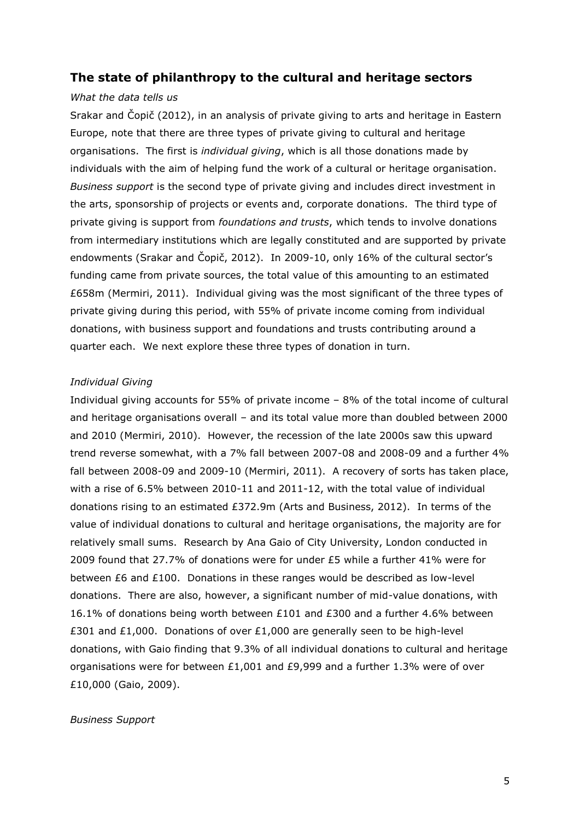### **The state of philanthropy to the cultural and heritage sectors**

#### *What the data tells us*

Srakar and Čopič (2012), in an analysis of private giving to arts and heritage in Eastern Europe, note that there are three types of private giving to cultural and heritage organisations. The first is *individual giving*, which is all those donations made by individuals with the aim of helping fund the work of a cultural or heritage organisation. *Business support* is the second type of private giving and includes direct investment in the arts, sponsorship of projects or events and, corporate donations. The third type of private giving is support from *foundations and trusts*, which tends to involve donations from intermediary institutions which are legally constituted and are supported by private endowments (Srakar and Čopič, 2012). In 2009-10, only 16% of the cultural sector"s funding came from private sources, the total value of this amounting to an estimated £658m (Mermiri, 2011). Individual giving was the most significant of the three types of private giving during this period, with 55% of private income coming from individual donations, with business support and foundations and trusts contributing around a quarter each. We next explore these three types of donation in turn.

#### *Individual Giving*

Individual giving accounts for 55% of private income – 8% of the total income of cultural and heritage organisations overall – and its total value more than doubled between 2000 and 2010 (Mermiri, 2010). However, the recession of the late 2000s saw this upward trend reverse somewhat, with a 7% fall between 2007-08 and 2008-09 and a further 4% fall between 2008-09 and 2009-10 (Mermiri, 2011). A recovery of sorts has taken place, with a rise of 6.5% between 2010-11 and 2011-12, with the total value of individual donations rising to an estimated £372.9m (Arts and Business, 2012). In terms of the value of individual donations to cultural and heritage organisations, the majority are for relatively small sums. Research by Ana Gaio of City University, London conducted in 2009 found that 27.7% of donations were for under £5 while a further 41% were for between £6 and £100. Donations in these ranges would be described as low-level donations. There are also, however, a significant number of mid-value donations, with 16.1% of donations being worth between £101 and £300 and a further 4.6% between £301 and £1,000. Donations of over £1,000 are generally seen to be high-level donations, with Gaio finding that 9.3% of all individual donations to cultural and heritage organisations were for between  $£1,001$  and  $£9,999$  and a further 1.3% were of over £10,000 (Gaio, 2009).

#### *Business Support*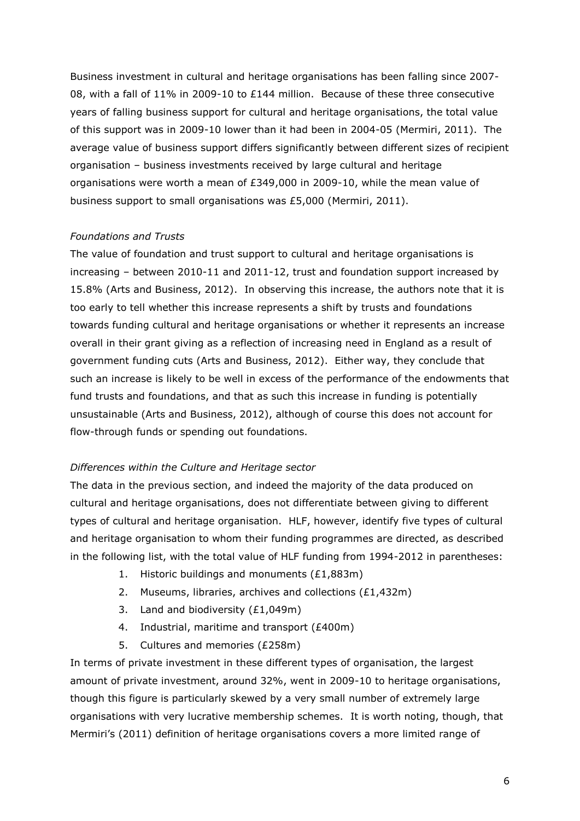Business investment in cultural and heritage organisations has been falling since 2007- 08, with a fall of 11% in 2009-10 to £144 million. Because of these three consecutive years of falling business support for cultural and heritage organisations, the total value of this support was in 2009-10 lower than it had been in 2004-05 (Mermiri, 2011). The average value of business support differs significantly between different sizes of recipient organisation – business investments received by large cultural and heritage organisations were worth a mean of £349,000 in 2009-10, while the mean value of business support to small organisations was £5,000 (Mermiri, 2011).

### *Foundations and Trusts*

The value of foundation and trust support to cultural and heritage organisations is increasing – between 2010-11 and 2011-12, trust and foundation support increased by 15.8% (Arts and Business, 2012). In observing this increase, the authors note that it is too early to tell whether this increase represents a shift by trusts and foundations towards funding cultural and heritage organisations or whether it represents an increase overall in their grant giving as a reflection of increasing need in England as a result of government funding cuts (Arts and Business, 2012). Either way, they conclude that such an increase is likely to be well in excess of the performance of the endowments that fund trusts and foundations, and that as such this increase in funding is potentially unsustainable (Arts and Business, 2012), although of course this does not account for flow-through funds or spending out foundations.

### *Differences within the Culture and Heritage sector*

The data in the previous section, and indeed the majority of the data produced on cultural and heritage organisations, does not differentiate between giving to different types of cultural and heritage organisation. HLF, however, identify five types of cultural and heritage organisation to whom their funding programmes are directed, as described in the following list, with the total value of HLF funding from 1994-2012 in parentheses:

- 1. Historic buildings and monuments (£1,883m)
- 2. Museums, libraries, archives and collections (£1,432m)
- 3. Land and biodiversity (£1,049m)
- 4. Industrial, maritime and transport (£400m)
- 5. Cultures and memories (£258m)

In terms of private investment in these different types of organisation, the largest amount of private investment, around 32%, went in 2009-10 to heritage organisations, though this figure is particularly skewed by a very small number of extremely large organisations with very lucrative membership schemes. It is worth noting, though, that Mermiri's (2011) definition of heritage organisations covers a more limited range of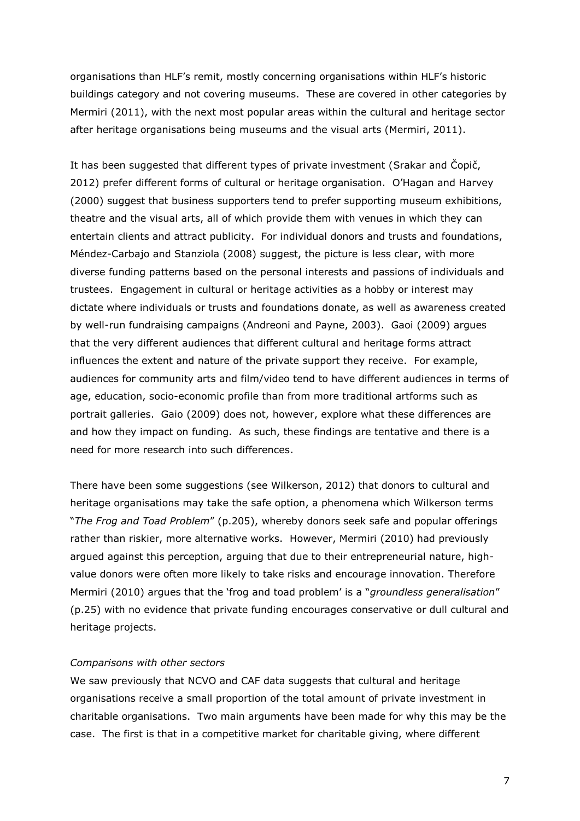organisations than HLF"s remit, mostly concerning organisations within HLF"s historic buildings category and not covering museums. These are covered in other categories by Mermiri (2011), with the next most popular areas within the cultural and heritage sector after heritage organisations being museums and the visual arts (Mermiri, 2011).

It has been suggested that different types of private investment (Srakar and Čopič, 2012) prefer different forms of cultural or heritage organisation. O"Hagan and Harvey (2000) suggest that business supporters tend to prefer supporting museum exhibitions, theatre and the visual arts, all of which provide them with venues in which they can entertain clients and attract publicity. For individual donors and trusts and foundations, Méndez-Carbajo and Stanziola (2008) suggest, the picture is less clear, with more diverse funding patterns based on the personal interests and passions of individuals and trustees. Engagement in cultural or heritage activities as a hobby or interest may dictate where individuals or trusts and foundations donate, as well as awareness created by well-run fundraising campaigns (Andreoni and Payne, 2003). Gaoi (2009) argues that the very different audiences that different cultural and heritage forms attract influences the extent and nature of the private support they receive. For example, audiences for community arts and film/video tend to have different audiences in terms of age, education, socio-economic profile than from more traditional artforms such as portrait galleries. Gaio (2009) does not, however, explore what these differences are and how they impact on funding. As such, these findings are tentative and there is a need for more research into such differences.

There have been some suggestions (see Wilkerson, 2012) that donors to cultural and heritage organisations may take the safe option, a phenomena which Wilkerson terms "*The Frog and Toad Problem*" (p.205), whereby donors seek safe and popular offerings rather than riskier, more alternative works. However, Mermiri (2010) had previously argued against this perception, arguing that due to their entrepreneurial nature, highvalue donors were often more likely to take risks and encourage innovation. Therefore Mermiri (2010) argues that the "frog and toad problem" is a "*groundless generalisation*" (p.25) with no evidence that private funding encourages conservative or dull cultural and heritage projects.

#### *Comparisons with other sectors*

We saw previously that NCVO and CAF data suggests that cultural and heritage organisations receive a small proportion of the total amount of private investment in charitable organisations. Two main arguments have been made for why this may be the case. The first is that in a competitive market for charitable giving, where different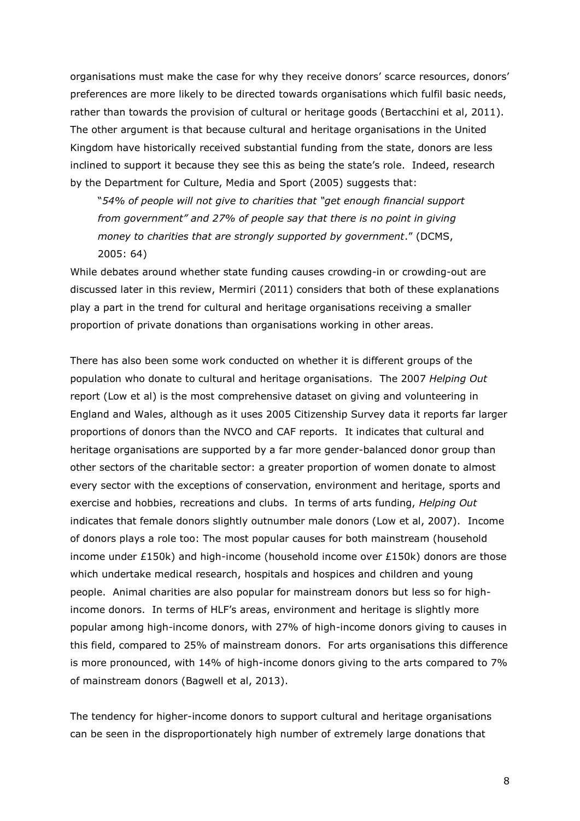organisations must make the case for why they receive donors" scarce resources, donors" preferences are more likely to be directed towards organisations which fulfil basic needs, rather than towards the provision of cultural or heritage goods (Bertacchini et al, 2011). The other argument is that because cultural and heritage organisations in the United Kingdom have historically received substantial funding from the state, donors are less inclined to support it because they see this as being the state's role. Indeed, research by the Department for Culture, Media and Sport (2005) suggests that:

"*54% of people will not give to charities that "get enough financial support from government" and 27% of people say that there is no point in giving money to charities that are strongly supported by government*." (DCMS, 2005: 64)

While debates around whether state funding causes crowding-in or crowding-out are discussed later in this review, Mermiri (2011) considers that both of these explanations play a part in the trend for cultural and heritage organisations receiving a smaller proportion of private donations than organisations working in other areas.

There has also been some work conducted on whether it is different groups of the population who donate to cultural and heritage organisations. The 2007 *Helping Out* report (Low et al) is the most comprehensive dataset on giving and volunteering in England and Wales, although as it uses 2005 Citizenship Survey data it reports far larger proportions of donors than the NVCO and CAF reports. It indicates that cultural and heritage organisations are supported by a far more gender-balanced donor group than other sectors of the charitable sector: a greater proportion of women donate to almost every sector with the exceptions of conservation, environment and heritage, sports and exercise and hobbies, recreations and clubs. In terms of arts funding, *Helping Out* indicates that female donors slightly outnumber male donors (Low et al, 2007). Income of donors plays a role too: The most popular causes for both mainstream (household income under  $£150k$ ) and high-income (household income over  $£150k$ ) donors are those which undertake medical research, hospitals and hospices and children and young people. Animal charities are also popular for mainstream donors but less so for highincome donors. In terms of HLF"s areas, environment and heritage is slightly more popular among high-income donors, with 27% of high-income donors giving to causes in this field, compared to 25% of mainstream donors. For arts organisations this difference is more pronounced, with 14% of high-income donors giving to the arts compared to 7% of mainstream donors (Bagwell et al, 2013).

The tendency for higher-income donors to support cultural and heritage organisations can be seen in the disproportionately high number of extremely large donations that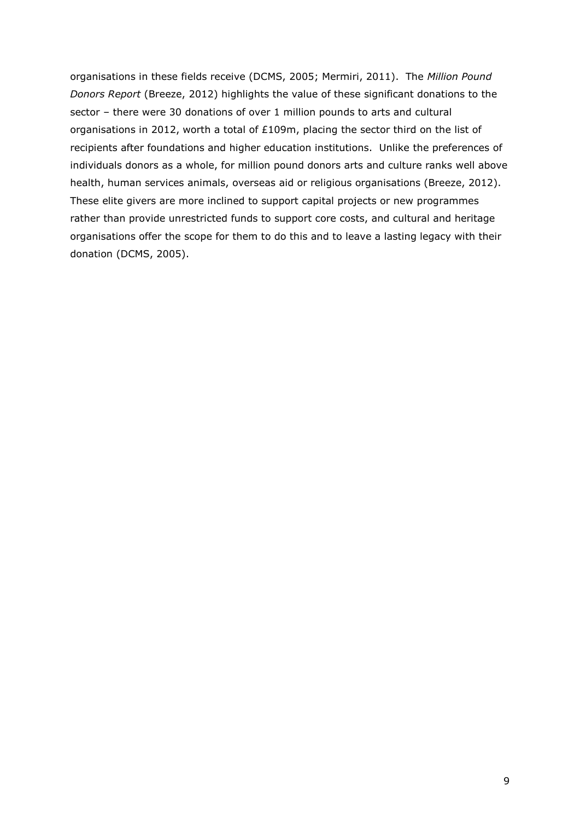organisations in these fields receive (DCMS, 2005; Mermiri, 2011). The *Million Pound Donors Report* (Breeze, 2012) highlights the value of these significant donations to the sector – there were 30 donations of over 1 million pounds to arts and cultural organisations in 2012, worth a total of £109m, placing the sector third on the list of recipients after foundations and higher education institutions. Unlike the preferences of individuals donors as a whole, for million pound donors arts and culture ranks well above health, human services animals, overseas aid or religious organisations (Breeze, 2012). These elite givers are more inclined to support capital projects or new programmes rather than provide unrestricted funds to support core costs, and cultural and heritage organisations offer the scope for them to do this and to leave a lasting legacy with their donation (DCMS, 2005).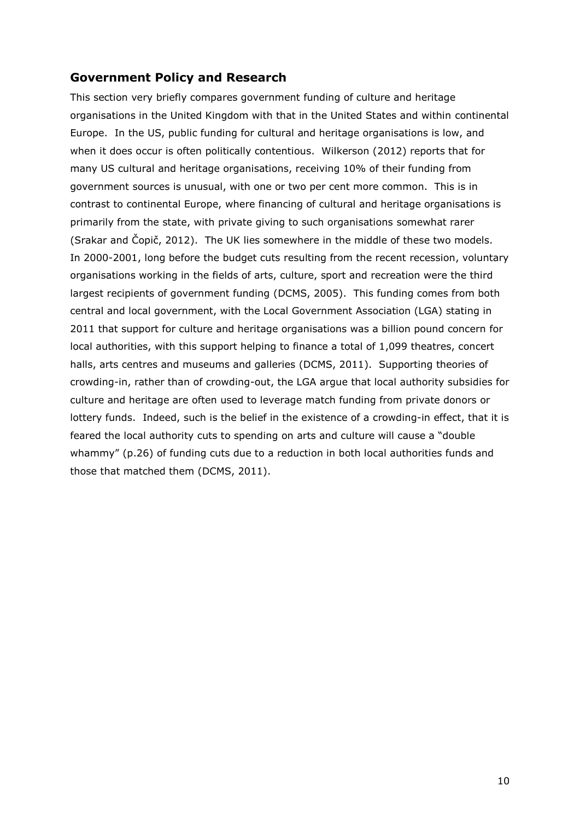# **Government Policy and Research**

This section very briefly compares government funding of culture and heritage organisations in the United Kingdom with that in the United States and within continental Europe. In the US, public funding for cultural and heritage organisations is low, and when it does occur is often politically contentious. Wilkerson (2012) reports that for many US cultural and heritage organisations, receiving 10% of their funding from government sources is unusual, with one or two per cent more common. This is in contrast to continental Europe, where financing of cultural and heritage organisations is primarily from the state, with private giving to such organisations somewhat rarer (Srakar and Čopič, 2012). The UK lies somewhere in the middle of these two models. In 2000-2001, long before the budget cuts resulting from the recent recession, voluntary organisations working in the fields of arts, culture, sport and recreation were the third largest recipients of government funding (DCMS, 2005). This funding comes from both central and local government, with the Local Government Association (LGA) stating in 2011 that support for culture and heritage organisations was a billion pound concern for local authorities, with this support helping to finance a total of 1,099 theatres, concert halls, arts centres and museums and galleries (DCMS, 2011). Supporting theories of crowding-in, rather than of crowding-out, the LGA argue that local authority subsidies for culture and heritage are often used to leverage match funding from private donors or lottery funds. Indeed, such is the belief in the existence of a crowding-in effect, that it is feared the local authority cuts to spending on arts and culture will cause a "double whammy" (p.26) of funding cuts due to a reduction in both local authorities funds and those that matched them (DCMS, 2011).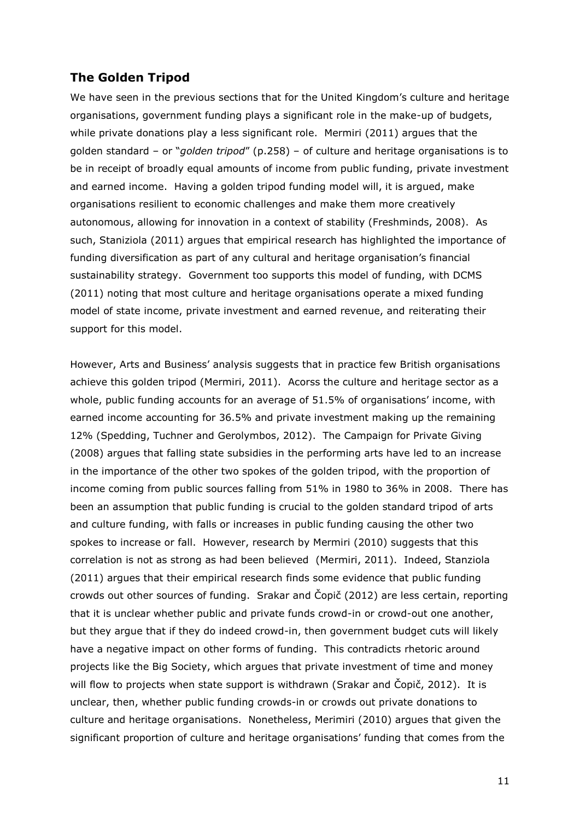# **The Golden Tripod**

We have seen in the previous sections that for the United Kingdom's culture and heritage organisations, government funding plays a significant role in the make-up of budgets, while private donations play a less significant role. Mermiri (2011) argues that the golden standard – or "*golden tripod*" (p.258) – of culture and heritage organisations is to be in receipt of broadly equal amounts of income from public funding, private investment and earned income. Having a golden tripod funding model will, it is argued, make organisations resilient to economic challenges and make them more creatively autonomous, allowing for innovation in a context of stability (Freshminds, 2008). As such, Staniziola (2011) argues that empirical research has highlighted the importance of funding diversification as part of any cultural and heritage organisation"s financial sustainability strategy. Government too supports this model of funding, with DCMS (2011) noting that most culture and heritage organisations operate a mixed funding model of state income, private investment and earned revenue, and reiterating their support for this model.

However, Arts and Business" analysis suggests that in practice few British organisations achieve this golden tripod (Mermiri, 2011). Acorss the culture and heritage sector as a whole, public funding accounts for an average of 51.5% of organisations' income, with earned income accounting for 36.5% and private investment making up the remaining 12% (Spedding, Tuchner and Gerolymbos, 2012). The Campaign for Private Giving (2008) argues that falling state subsidies in the performing arts have led to an increase in the importance of the other two spokes of the golden tripod, with the proportion of income coming from public sources falling from 51% in 1980 to 36% in 2008. There has been an assumption that public funding is crucial to the golden standard tripod of arts and culture funding, with falls or increases in public funding causing the other two spokes to increase or fall. However, research by Mermiri (2010) suggests that this correlation is not as strong as had been believed (Mermiri, 2011). Indeed, Stanziola (2011) argues that their empirical research finds some evidence that public funding crowds out other sources of funding. Srakar and Čopič (2012) are less certain, reporting that it is unclear whether public and private funds crowd-in or crowd-out one another, but they argue that if they do indeed crowd-in, then government budget cuts will likely have a negative impact on other forms of funding. This contradicts rhetoric around projects like the Big Society, which argues that private investment of time and money will flow to projects when state support is withdrawn (Srakar and Čopič, 2012). It is unclear, then, whether public funding crowds-in or crowds out private donations to culture and heritage organisations. Nonetheless, Merimiri (2010) argues that given the significant proportion of culture and heritage organisations' funding that comes from the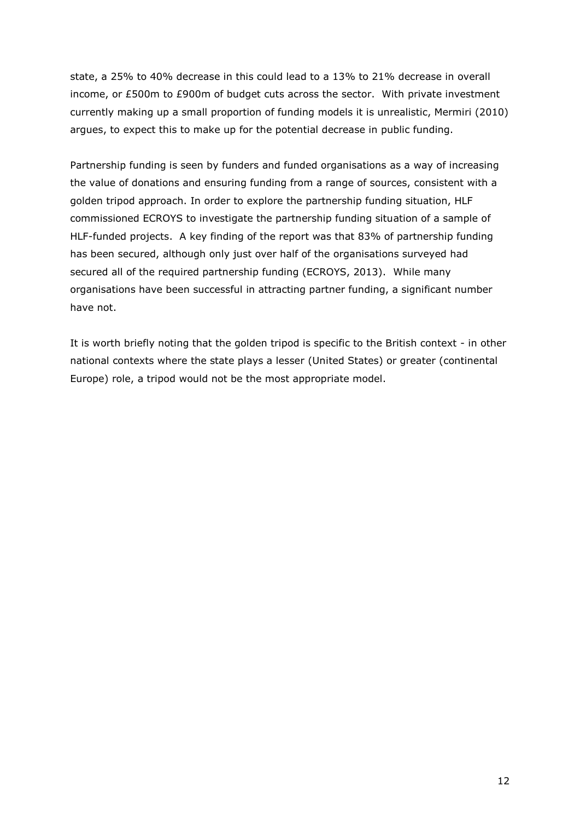state, a 25% to 40% decrease in this could lead to a 13% to 21% decrease in overall income, or £500m to £900m of budget cuts across the sector. With private investment currently making up a small proportion of funding models it is unrealistic, Mermiri (2010) argues, to expect this to make up for the potential decrease in public funding.

Partnership funding is seen by funders and funded organisations as a way of increasing the value of donations and ensuring funding from a range of sources, consistent with a golden tripod approach. In order to explore the partnership funding situation, HLF commissioned ECROYS to investigate the partnership funding situation of a sample of HLF-funded projects. A key finding of the report was that 83% of partnership funding has been secured, although only just over half of the organisations surveyed had secured all of the required partnership funding (ECROYS, 2013). While many organisations have been successful in attracting partner funding, a significant number have not.

It is worth briefly noting that the golden tripod is specific to the British context - in other national contexts where the state plays a lesser (United States) or greater (continental Europe) role, a tripod would not be the most appropriate model.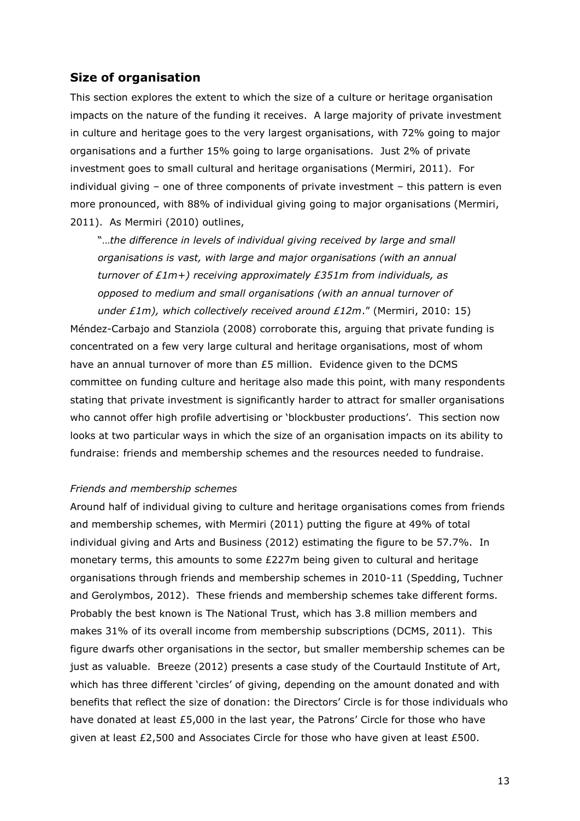## **Size of organisation**

This section explores the extent to which the size of a culture or heritage organisation impacts on the nature of the funding it receives. A large majority of private investment in culture and heritage goes to the very largest organisations, with 72% going to major organisations and a further 15% going to large organisations. Just 2% of private investment goes to small cultural and heritage organisations (Mermiri, 2011). For individual giving – one of three components of private investment – this pattern is even more pronounced, with 88% of individual giving going to major organisations (Mermiri, 2011). As Mermiri (2010) outlines,

"…*the difference in levels of individual giving received by large and small organisations is vast, with large and major organisations (with an annual turnover of £1m+) receiving approximately £351m from individuals, as opposed to medium and small organisations (with an annual turnover of under £1m), which collectively received around £12m*." (Mermiri, 2010: 15)

Méndez-Carbajo and Stanziola (2008) corroborate this, arguing that private funding is concentrated on a few very large cultural and heritage organisations, most of whom have an annual turnover of more than £5 million. Evidence given to the DCMS committee on funding culture and heritage also made this point, with many respondents stating that private investment is significantly harder to attract for smaller organisations who cannot offer high profile advertising or 'blockbuster productions'. This section now looks at two particular ways in which the size of an organisation impacts on its ability to fundraise: friends and membership schemes and the resources needed to fundraise.

#### *Friends and membership schemes*

Around half of individual giving to culture and heritage organisations comes from friends and membership schemes, with Mermiri (2011) putting the figure at 49% of total individual giving and Arts and Business (2012) estimating the figure to be 57.7%. In monetary terms, this amounts to some £227m being given to cultural and heritage organisations through friends and membership schemes in 2010-11 (Spedding, Tuchner and Gerolymbos, 2012). These friends and membership schemes take different forms. Probably the best known is The National Trust, which has 3.8 million members and makes 31% of its overall income from membership subscriptions (DCMS, 2011). This figure dwarfs other organisations in the sector, but smaller membership schemes can be just as valuable. Breeze (2012) presents a case study of the Courtauld Institute of Art, which has three different "circles" of giving, depending on the amount donated and with benefits that reflect the size of donation: the Directors" Circle is for those individuals who have donated at least £5,000 in the last year, the Patrons' Circle for those who have given at least £2,500 and Associates Circle for those who have given at least £500.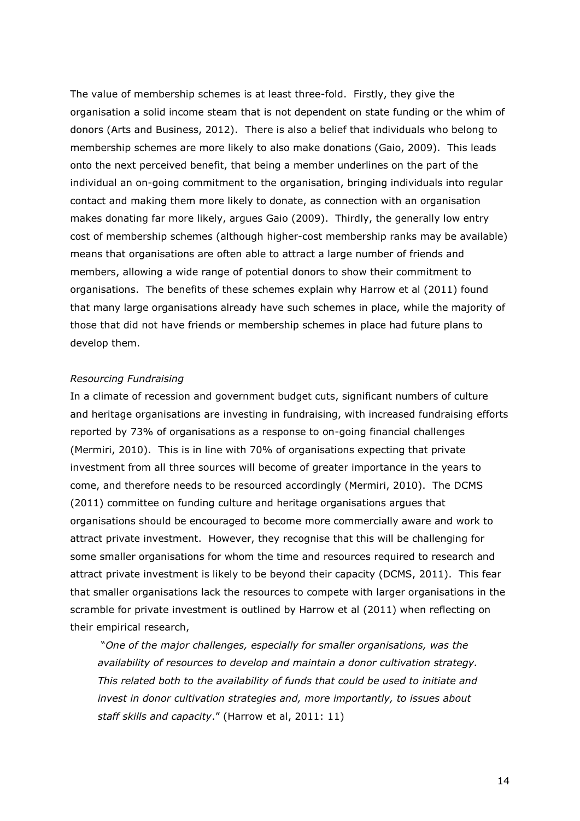The value of membership schemes is at least three-fold. Firstly, they give the organisation a solid income steam that is not dependent on state funding or the whim of donors (Arts and Business, 2012). There is also a belief that individuals who belong to membership schemes are more likely to also make donations (Gaio, 2009). This leads onto the next perceived benefit, that being a member underlines on the part of the individual an on-going commitment to the organisation, bringing individuals into regular contact and making them more likely to donate, as connection with an organisation makes donating far more likely, argues Gaio (2009). Thirdly, the generally low entry cost of membership schemes (although higher-cost membership ranks may be available) means that organisations are often able to attract a large number of friends and members, allowing a wide range of potential donors to show their commitment to organisations. The benefits of these schemes explain why Harrow et al (2011) found that many large organisations already have such schemes in place, while the majority of those that did not have friends or membership schemes in place had future plans to develop them.

#### *Resourcing Fundraising*

In a climate of recession and government budget cuts, significant numbers of culture and heritage organisations are investing in fundraising, with increased fundraising efforts reported by 73% of organisations as a response to on-going financial challenges (Mermiri, 2010). This is in line with 70% of organisations expecting that private investment from all three sources will become of greater importance in the years to come, and therefore needs to be resourced accordingly (Mermiri, 2010). The DCMS (2011) committee on funding culture and heritage organisations argues that organisations should be encouraged to become more commercially aware and work to attract private investment. However, they recognise that this will be challenging for some smaller organisations for whom the time and resources required to research and attract private investment is likely to be beyond their capacity (DCMS, 2011). This fear that smaller organisations lack the resources to compete with larger organisations in the scramble for private investment is outlined by Harrow et al (2011) when reflecting on their empirical research,

"*One of the major challenges, especially for smaller organisations, was the availability of resources to develop and maintain a donor cultivation strategy. This related both to the availability of funds that could be used to initiate and invest in donor cultivation strategies and, more importantly, to issues about staff skills and capacity*." (Harrow et al, 2011: 11)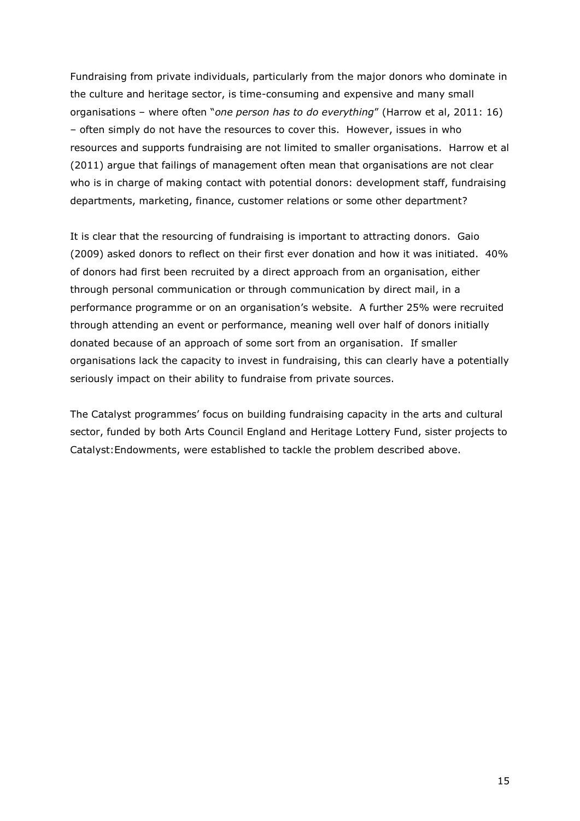Fundraising from private individuals, particularly from the major donors who dominate in the culture and heritage sector, is time-consuming and expensive and many small organisations – where often "*one person has to do everything*" (Harrow et al, 2011: 16) – often simply do not have the resources to cover this. However, issues in who resources and supports fundraising are not limited to smaller organisations. Harrow et al (2011) argue that failings of management often mean that organisations are not clear who is in charge of making contact with potential donors: development staff, fundraising departments, marketing, finance, customer relations or some other department?

It is clear that the resourcing of fundraising is important to attracting donors. Gaio (2009) asked donors to reflect on their first ever donation and how it was initiated. 40% of donors had first been recruited by a direct approach from an organisation, either through personal communication or through communication by direct mail, in a performance programme or on an organisation"s website. A further 25% were recruited through attending an event or performance, meaning well over half of donors initially donated because of an approach of some sort from an organisation. If smaller organisations lack the capacity to invest in fundraising, this can clearly have a potentially seriously impact on their ability to fundraise from private sources.

The Catalyst programmes' focus on building fundraising capacity in the arts and cultural sector, funded by both Arts Council England and Heritage Lottery Fund, sister projects to Catalyst:Endowments, were established to tackle the problem described above.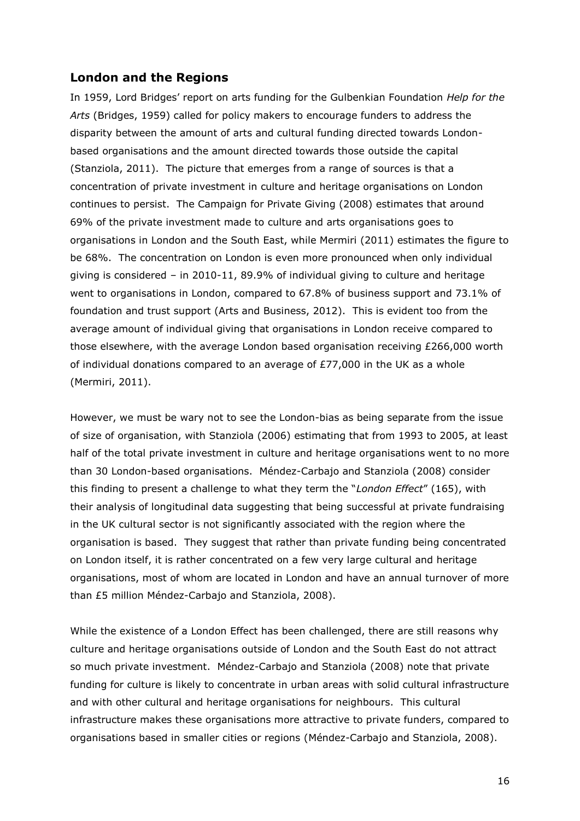### **London and the Regions**

In 1959, Lord Bridges" report on arts funding for the Gulbenkian Foundation *Help for the Arts* (Bridges, 1959) called for policy makers to encourage funders to address the disparity between the amount of arts and cultural funding directed towards Londonbased organisations and the amount directed towards those outside the capital (Stanziola, 2011). The picture that emerges from a range of sources is that a concentration of private investment in culture and heritage organisations on London continues to persist. The Campaign for Private Giving (2008) estimates that around 69% of the private investment made to culture and arts organisations goes to organisations in London and the South East, while Mermiri (2011) estimates the figure to be 68%. The concentration on London is even more pronounced when only individual giving is considered – in 2010-11, 89.9% of individual giving to culture and heritage went to organisations in London, compared to 67.8% of business support and 73.1% of foundation and trust support (Arts and Business, 2012). This is evident too from the average amount of individual giving that organisations in London receive compared to those elsewhere, with the average London based organisation receiving £266,000 worth of individual donations compared to an average of £77,000 in the UK as a whole (Mermiri, 2011).

However, we must be wary not to see the London-bias as being separate from the issue of size of organisation, with Stanziola (2006) estimating that from 1993 to 2005, at least half of the total private investment in culture and heritage organisations went to no more than 30 London-based organisations. Méndez-Carbajo and Stanziola (2008) consider this finding to present a challenge to what they term the "*London Effect*" (165), with their analysis of longitudinal data suggesting that being successful at private fundraising in the UK cultural sector is not significantly associated with the region where the organisation is based. They suggest that rather than private funding being concentrated on London itself, it is rather concentrated on a few very large cultural and heritage organisations, most of whom are located in London and have an annual turnover of more than £5 million Méndez-Carbajo and Stanziola, 2008).

While the existence of a London Effect has been challenged, there are still reasons why culture and heritage organisations outside of London and the South East do not attract so much private investment. Méndez-Carbajo and Stanziola (2008) note that private funding for culture is likely to concentrate in urban areas with solid cultural infrastructure and with other cultural and heritage organisations for neighbours. This cultural infrastructure makes these organisations more attractive to private funders, compared to organisations based in smaller cities or regions (Méndez-Carbajo and Stanziola, 2008).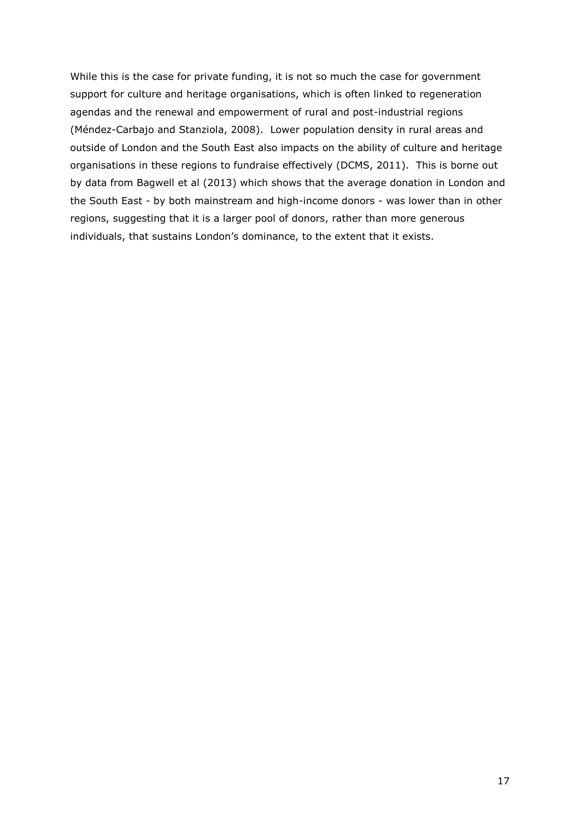While this is the case for private funding, it is not so much the case for government support for culture and heritage organisations, which is often linked to regeneration agendas and the renewal and empowerment of rural and post-industrial regions (Méndez-Carbajo and Stanziola, 2008). Lower population density in rural areas and outside of London and the South East also impacts on the ability of culture and heritage organisations in these regions to fundraise effectively (DCMS, 2011). This is borne out by data from Bagwell et al (2013) which shows that the average donation in London and the South East - by both mainstream and high-income donors - was lower than in other regions, suggesting that it is a larger pool of donors, rather than more generous individuals, that sustains London's dominance, to the extent that it exists.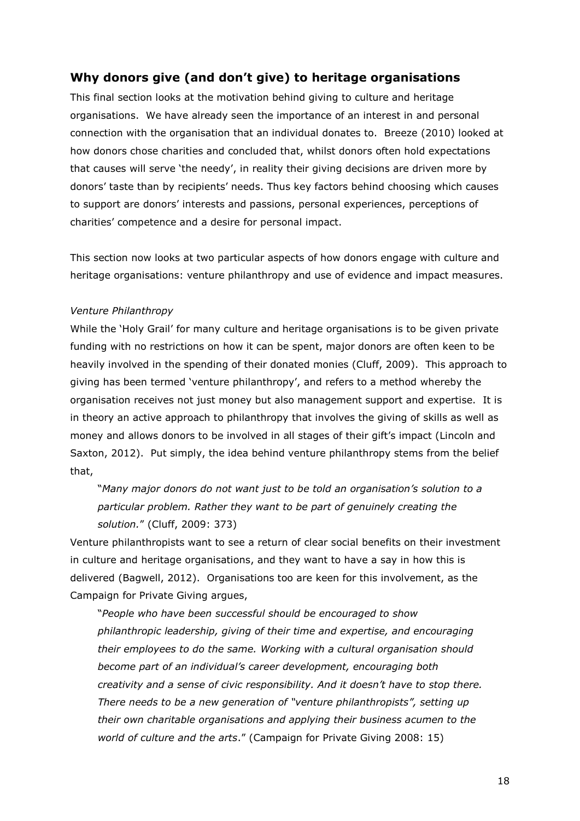## **Why donors give (and don't give) to heritage organisations**

This final section looks at the motivation behind giving to culture and heritage organisations. We have already seen the importance of an interest in and personal connection with the organisation that an individual donates to. Breeze (2010) looked at how donors chose charities and concluded that, whilst donors often hold expectations that causes will serve "the needy", in reality their giving decisions are driven more by donors' taste than by recipients' needs. Thus key factors behind choosing which causes to support are donors" interests and passions, personal experiences, perceptions of charities" competence and a desire for personal impact.

This section now looks at two particular aspects of how donors engage with culture and heritage organisations: venture philanthropy and use of evidence and impact measures.

#### *Venture Philanthropy*

While the "Holy Grail" for many culture and heritage organisations is to be given private funding with no restrictions on how it can be spent, major donors are often keen to be heavily involved in the spending of their donated monies (Cluff, 2009). This approach to giving has been termed "venture philanthropy", and refers to a method whereby the organisation receives not just money but also management support and expertise. It is in theory an active approach to philanthropy that involves the giving of skills as well as money and allows donors to be involved in all stages of their gift"s impact (Lincoln and Saxton, 2012). Put simply, the idea behind venture philanthropy stems from the belief that,

"*Many major donors do not want just to be told an organisation's solution to a particular problem. Rather they want to be part of genuinely creating the solution.*" (Cluff, 2009: 373)

Venture philanthropists want to see a return of clear social benefits on their investment in culture and heritage organisations, and they want to have a say in how this is delivered (Bagwell, 2012). Organisations too are keen for this involvement, as the Campaign for Private Giving argues,

"*People who have been successful should be encouraged to show philanthropic leadership, giving of their time and expertise, and encouraging their employees to do the same. Working with a cultural organisation should become part of an individual's career development, encouraging both creativity and a sense of civic responsibility. And it doesn't have to stop there. There needs to be a new generation of "venture philanthropists", setting up their own charitable organisations and applying their business acumen to the world of culture and the arts*." (Campaign for Private Giving 2008: 15)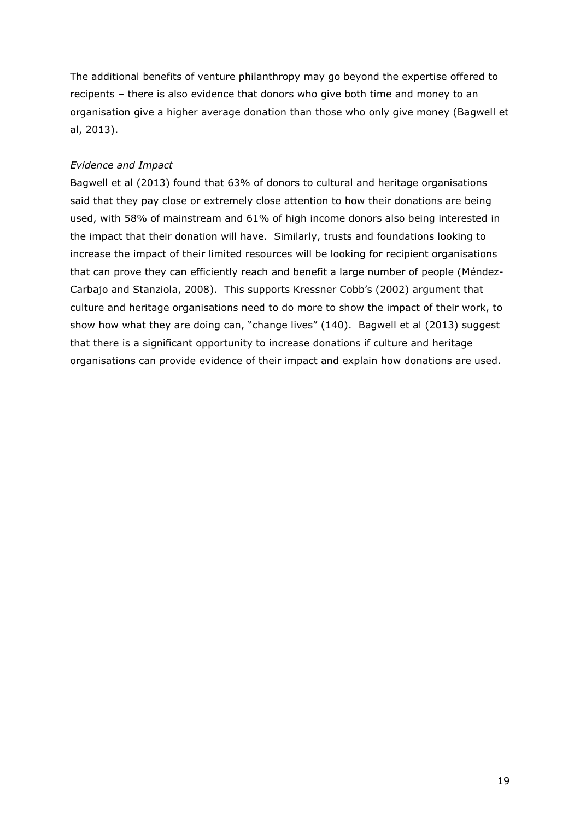The additional benefits of venture philanthropy may go beyond the expertise offered to recipents – there is also evidence that donors who give both time and money to an organisation give a higher average donation than those who only give money (Bagwell et al, 2013).

### *Evidence and Impact*

Bagwell et al (2013) found that 63% of donors to cultural and heritage organisations said that they pay close or extremely close attention to how their donations are being used, with 58% of mainstream and 61% of high income donors also being interested in the impact that their donation will have. Similarly, trusts and foundations looking to increase the impact of their limited resources will be looking for recipient organisations that can prove they can efficiently reach and benefit a large number of people (Méndez-Carbajo and Stanziola, 2008). This supports Kressner Cobb"s (2002) argument that culture and heritage organisations need to do more to show the impact of their work, to show how what they are doing can, "change lives" (140). Bagwell et al (2013) suggest that there is a significant opportunity to increase donations if culture and heritage organisations can provide evidence of their impact and explain how donations are used.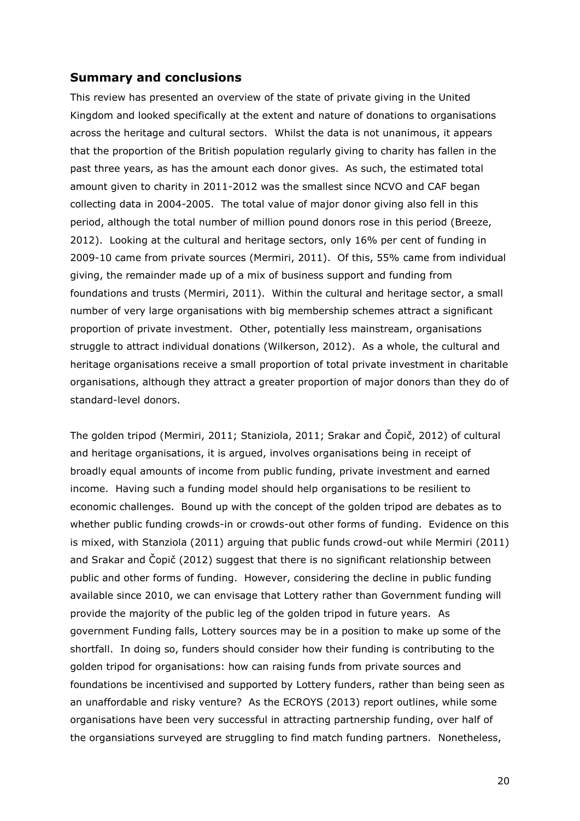### **Summary and conclusions**

This review has presented an overview of the state of private giving in the United Kingdom and looked specifically at the extent and nature of donations to organisations across the heritage and cultural sectors. Whilst the data is not unanimous, it appears that the proportion of the British population regularly giving to charity has fallen in the past three years, as has the amount each donor gives. As such, the estimated total amount given to charity in 2011-2012 was the smallest since NCVO and CAF began collecting data in 2004-2005. The total value of major donor giving also fell in this period, although the total number of million pound donors rose in this period (Breeze, 2012). Looking at the cultural and heritage sectors, only 16% per cent of funding in 2009-10 came from private sources (Mermiri, 2011). Of this, 55% came from individual giving, the remainder made up of a mix of business support and funding from foundations and trusts (Mermiri, 2011). Within the cultural and heritage sector, a small number of very large organisations with big membership schemes attract a significant proportion of private investment. Other, potentially less mainstream, organisations struggle to attract individual donations (Wilkerson, 2012). As a whole, the cultural and heritage organisations receive a small proportion of total private investment in charitable organisations, although they attract a greater proportion of major donors than they do of standard-level donors.

The golden tripod (Mermiri, 2011; Staniziola, 2011; Srakar and Čopič, 2012) of cultural and heritage organisations, it is argued, involves organisations being in receipt of broadly equal amounts of income from public funding, private investment and earned income. Having such a funding model should help organisations to be resilient to economic challenges. Bound up with the concept of the golden tripod are debates as to whether public funding crowds-in or crowds-out other forms of funding. Evidence on this is mixed, with Stanziola (2011) arguing that public funds crowd-out while Mermiri (2011) and Srakar and Čopič (2012) suggest that there is no significant relationship between public and other forms of funding. However, considering the decline in public funding available since 2010, we can envisage that Lottery rather than Government funding will provide the majority of the public leg of the golden tripod in future years. As government Funding falls, Lottery sources may be in a position to make up some of the shortfall. In doing so, funders should consider how their funding is contributing to the golden tripod for organisations: how can raising funds from private sources and foundations be incentivised and supported by Lottery funders, rather than being seen as an unaffordable and risky venture? As the ECROYS (2013) report outlines, while some organisations have been very successful in attracting partnership funding, over half of the organsiations surveyed are struggling to find match funding partners. Nonetheless,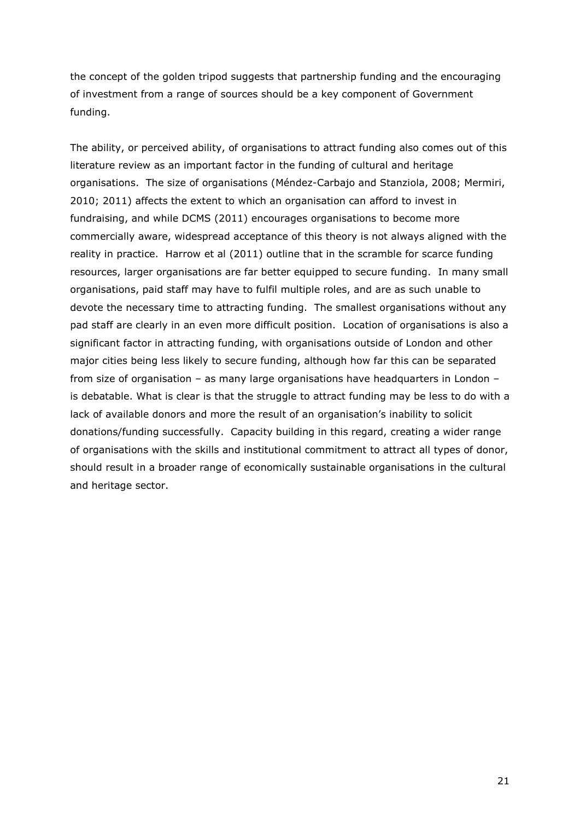the concept of the golden tripod suggests that partnership funding and the encouraging of investment from a range of sources should be a key component of Government funding.

The ability, or perceived ability, of organisations to attract funding also comes out of this literature review as an important factor in the funding of cultural and heritage organisations. The size of organisations (Méndez-Carbajo and Stanziola, 2008; Mermiri, 2010; 2011) affects the extent to which an organisation can afford to invest in fundraising, and while DCMS (2011) encourages organisations to become more commercially aware, widespread acceptance of this theory is not always aligned with the reality in practice. Harrow et al (2011) outline that in the scramble for scarce funding resources, larger organisations are far better equipped to secure funding. In many small organisations, paid staff may have to fulfil multiple roles, and are as such unable to devote the necessary time to attracting funding. The smallest organisations without any pad staff are clearly in an even more difficult position. Location of organisations is also a significant factor in attracting funding, with organisations outside of London and other major cities being less likely to secure funding, although how far this can be separated from size of organisation – as many large organisations have headquarters in London – is debatable. What is clear is that the struggle to attract funding may be less to do with a lack of available donors and more the result of an organisation's inability to solicit donations/funding successfully. Capacity building in this regard, creating a wider range of organisations with the skills and institutional commitment to attract all types of donor, should result in a broader range of economically sustainable organisations in the cultural and heritage sector.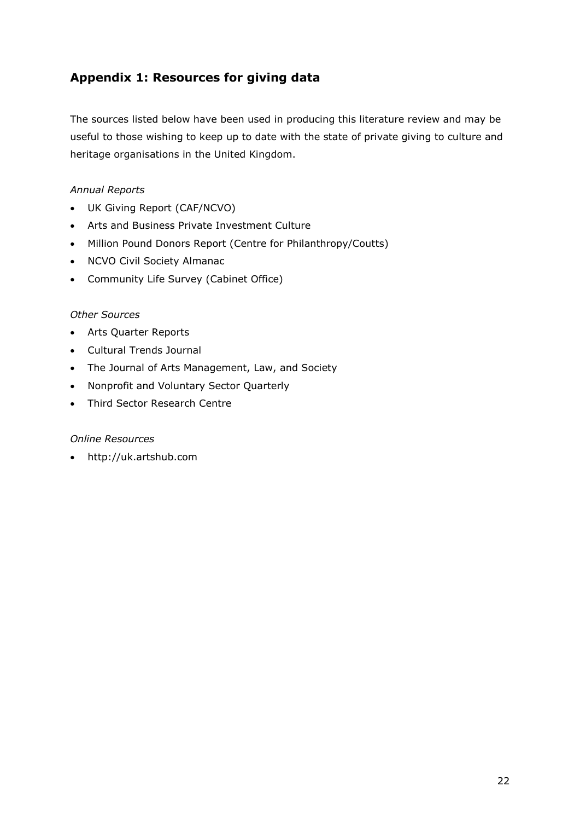# **Appendix 1: Resources for giving data**

The sources listed below have been used in producing this literature review and may be useful to those wishing to keep up to date with the state of private giving to culture and heritage organisations in the United Kingdom.

### *Annual Reports*

- UK Giving Report (CAF/NCVO)
- Arts and Business Private Investment Culture
- Million Pound Donors Report (Centre for Philanthropy/Coutts)
- NCVO Civil Society Almanac
- Community Life Survey (Cabinet Office)

#### *Other Sources*

- Arts Quarter Reports
- Cultural Trends Journal
- The Journal of Arts Management, Law, and Society
- Nonprofit and Voluntary Sector Quarterly
- Third Sector Research Centre

### *Online Resources*

http://uk.artshub.com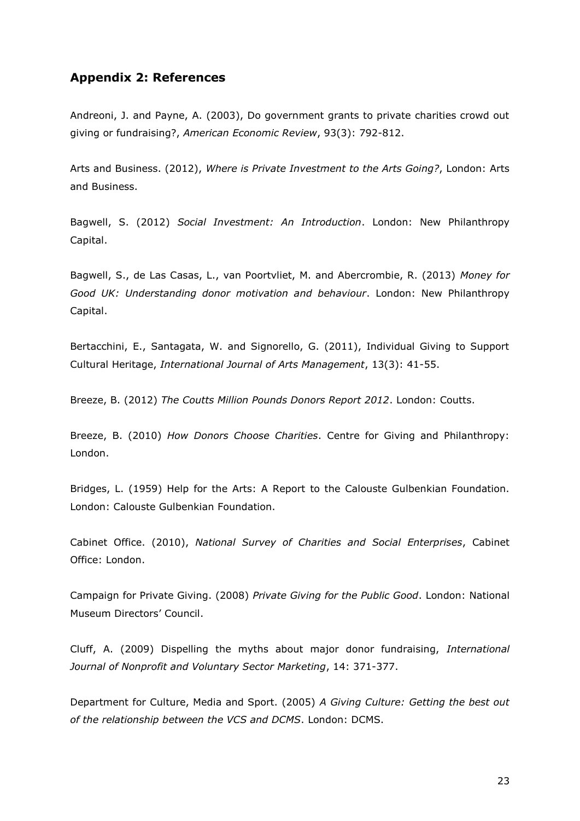## **Appendix 2: References**

Andreoni, J. and Payne, A. (2003), Do government grants to private charities crowd out giving or fundraising?, *American Economic Review*, 93(3): 792-812.

Arts and Business. (2012), *Where is Private Investment to the Arts Going?*, London: Arts and Business.

Bagwell, S. (2012) *Social Investment: An Introduction*. London: New Philanthropy Capital.

Bagwell, S., de Las Casas, L., van Poortvliet, M. and Abercrombie, R. (2013) *Money for Good UK: Understanding donor motivation and behaviour*. London: New Philanthropy Capital.

Bertacchini, E., Santagata, W. and Signorello, G. (2011), Individual Giving to Support Cultural Heritage, *International Journal of Arts Management*, 13(3): 41-55.

Breeze, B. (2012) *The Coutts Million Pounds Donors Report 2012*. London: Coutts.

Breeze, B. (2010) *How Donors Choose Charities*. Centre for Giving and Philanthropy: London.

Bridges, L. (1959) Help for the Arts: A Report to the Calouste Gulbenkian Foundation. London: Calouste Gulbenkian Foundation.

Cabinet Office. (2010), *National Survey of Charities and Social Enterprises*, Cabinet Office: London.

Campaign for Private Giving. (2008) *Private Giving for the Public Good*. London: National Museum Directors' Council.

Cluff, A. (2009) Dispelling the myths about major donor fundraising, *International Journal of Nonprofit and Voluntary Sector Marketing*, 14: 371-377.

Department for Culture, Media and Sport. (2005) *A Giving Culture: Getting the best out of the relationship between the VCS and DCMS*. London: DCMS.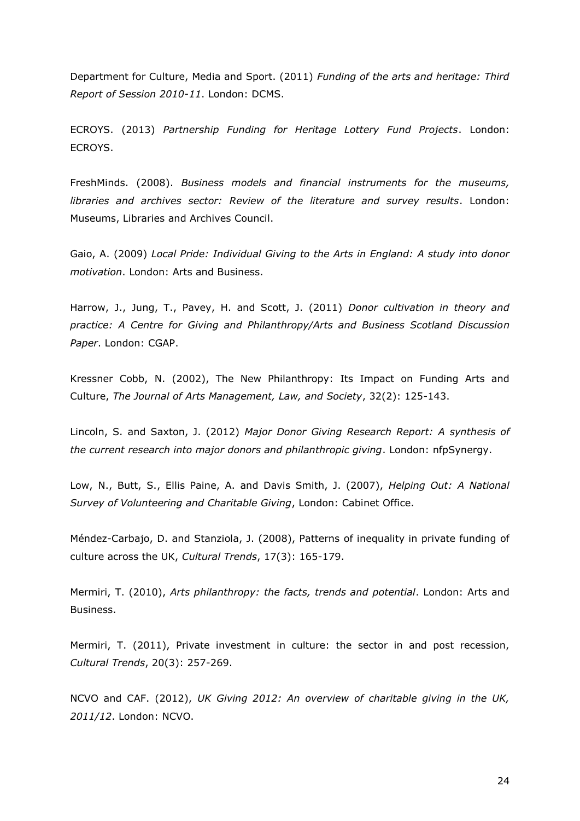Department for Culture, Media and Sport. (2011) *Funding of the arts and heritage: Third Report of Session 2010-11*. London: DCMS.

ECROYS. (2013) *Partnership Funding for Heritage Lottery Fund Projects*. London: ECROYS.

FreshMinds. (2008). *Business models and financial instruments for the museums, libraries and archives sector: Review of the literature and survey results*. London: Museums, Libraries and Archives Council.

Gaio, A. (2009) *Local Pride: Individual Giving to the Arts in England: A study into donor motivation*. London: Arts and Business.

Harrow, J., Jung, T., Pavey, H. and Scott, J. (2011) *Donor cultivation in theory and practice: A Centre for Giving and Philanthropy/Arts and Business Scotland Discussion Paper*. London: CGAP.

Kressner Cobb, N. (2002), The New Philanthropy: Its Impact on Funding Arts and Culture, *The Journal of Arts Management, Law, and Society*, 32(2): 125-143.

Lincoln, S. and Saxton, J. (2012) *Major Donor Giving Research Report: A synthesis of the current research into major donors and philanthropic giving*. London: nfpSynergy.

Low, N., Butt, S., Ellis Paine, A. and Davis Smith, J. (2007), *Helping Out: A National Survey of Volunteering and Charitable Giving*, London: Cabinet Office.

Méndez-Carbajo, D. and Stanziola, J. (2008), Patterns of inequality in private funding of culture across the UK, *Cultural Trends*, 17(3): 165-179.

Mermiri, T. (2010), *Arts philanthropy: the facts, trends and potential*. London: Arts and Business.

Mermiri, T. (2011), Private investment in culture: the sector in and post recession, *Cultural Trends*, 20(3): 257-269.

NCVO and CAF. (2012), *UK Giving 2012: An overview of charitable giving in the UK, 2011/12*. London: NCVO.